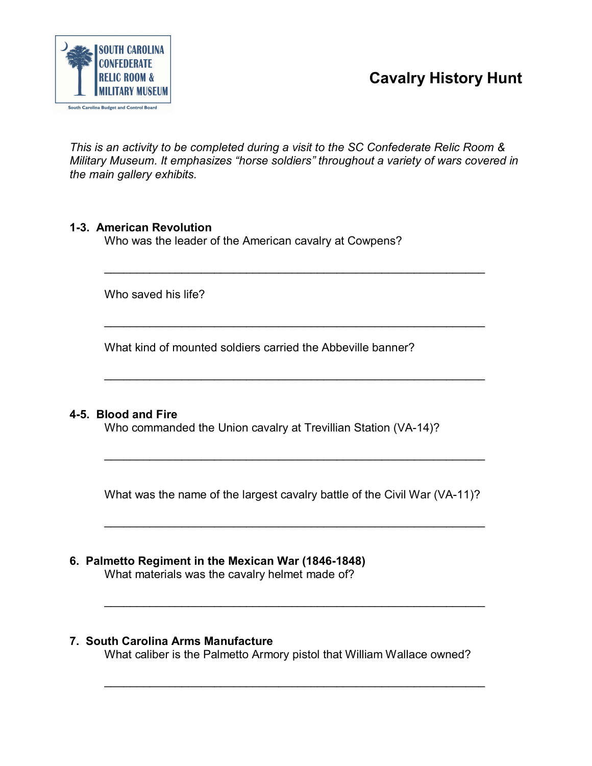



*This is an activity to be completed during a visit to the SC Confederate Relic Room & Military Museum. It emphasizes "horse soldiers" throughout a variety of wars covered in the main gallery exhibits.*

 $\overline{\phantom{a}}$  , and the contribution of the contribution of the contribution of the contribution of the contribution of the contribution of the contribution of the contribution of the contribution of the contribution of the

 $\frac{1}{2}$  ,  $\frac{1}{2}$  ,  $\frac{1}{2}$  ,  $\frac{1}{2}$  ,  $\frac{1}{2}$  ,  $\frac{1}{2}$  ,  $\frac{1}{2}$  ,  $\frac{1}{2}$  ,  $\frac{1}{2}$  ,  $\frac{1}{2}$  ,  $\frac{1}{2}$  ,  $\frac{1}{2}$  ,  $\frac{1}{2}$  ,  $\frac{1}{2}$  ,  $\frac{1}{2}$  ,  $\frac{1}{2}$  ,  $\frac{1}{2}$  ,  $\frac{1}{2}$  ,  $\frac{1$ 

 $\overline{\phantom{a}}$  , and the contribution of the contribution of the contribution of the contribution of the contribution of the contribution of the contribution of the contribution of the contribution of the contribution of the

# **13. American Revolution**

Who was the leader of the American cavalry at Cowpens?

Who saved his life?

What kind of mounted soldiers carried the Abbeville banner?

# **45. Blood and Fire**

Who commanded the Union cavalry at Trevillian Station (VA-14)?

What was the name of the largest cavalry battle of the Civil War (VA-11)?

 $\frac{1}{2}$  ,  $\frac{1}{2}$  ,  $\frac{1}{2}$  ,  $\frac{1}{2}$  ,  $\frac{1}{2}$  ,  $\frac{1}{2}$  ,  $\frac{1}{2}$  ,  $\frac{1}{2}$  ,  $\frac{1}{2}$  ,  $\frac{1}{2}$  ,  $\frac{1}{2}$  ,  $\frac{1}{2}$  ,  $\frac{1}{2}$  ,  $\frac{1}{2}$  ,  $\frac{1}{2}$  ,  $\frac{1}{2}$  ,  $\frac{1}{2}$  ,  $\frac{1}{2}$  ,  $\frac{1$ 

 $\overline{\phantom{a}}$  , and the contribution of the contribution of the contribution of the contribution of the contribution of the contribution of the contribution of the contribution of the contribution of the contribution of the

 $\overline{\phantom{a}}$  , and the contribution of the contribution of the contribution of the contribution of the contribution of the contribution of the contribution of the contribution of the contribution of the contribution of the

# **6. Palmetto Regiment in the Mexican War (1846-1848)**

What materials was the cavalry helmet made of?

# **7. South Carolina Arms Manufacture**

What caliber is the Palmetto Armory pistol that William Wallace owned?

 $\overline{\phantom{a}}$  , and the contribution of the contribution of the contribution of the contribution of the contribution of the contribution of the contribution of the contribution of the contribution of the contribution of the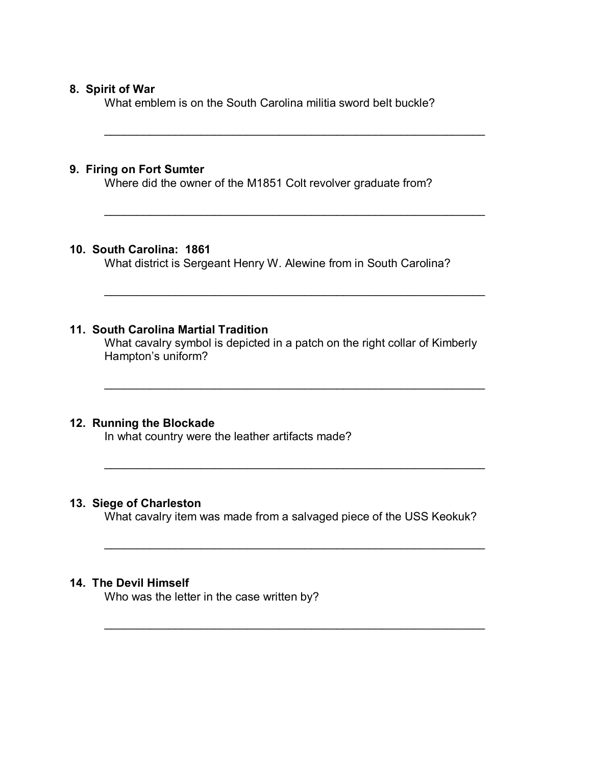# **8. Spirit of War**

What emblem is on the South Carolina militia sword belt buckle?

 $\mathcal{L}_\text{max}$  , and the contract of the contract of the contract of the contract of the contract of the contract of the contract of the contract of the contract of the contract of the contract of the contract of the contr

 $\overline{\phantom{a}}$  , and the contribution of the contribution of the contribution of the contribution of the contribution of the contribution of the contribution of the contribution of the contribution of the contribution of the

 $\overline{\phantom{a}}$  , and the contribution of the contribution of the contribution of the contribution of the contribution of the contribution of the contribution of the contribution of the contribution of the contribution of the

 $\mathcal{L}_\text{max}$  , and the contract of the contract of the contract of the contract of the contract of the contract of the contract of the contract of the contract of the contract of the contract of the contract of the contr

 $\overline{\phantom{a}}$  , and the contribution of the contribution of the contribution of the contribution of the contribution of the contribution of the contribution of the contribution of the contribution of the contribution of the

 $\overline{\phantom{a}}$  , and the contribution of the contribution of the contribution of the contribution of the contribution of the contribution of the contribution of the contribution of the contribution of the contribution of the

# **9. Firing on Fort Sumter**

Where did the owner of the M1851 Colt revolver graduate from?

# **10. South Carolina: 1861**

What district is Sergeant Henry W. Alewine from in South Carolina?

# **11. South Carolina Martial Tradition**

What cavalry symbol is depicted in a patch on the right collar of Kimberly Hampton's uniform?

#### **12. Running the Blockade**

In what country were the leather artifacts made?

# **13. Siege of Charleston**

What cavalry item was made from a salvaged piece of the USS Keokuk?

 $\overline{\phantom{a}}$  , and the contribution of the contribution of the contribution of the contribution of the contribution of the contribution of the contribution of the contribution of the contribution of the contribution of the

#### **14. The Devil Himself**

Who was the letter in the case written by?